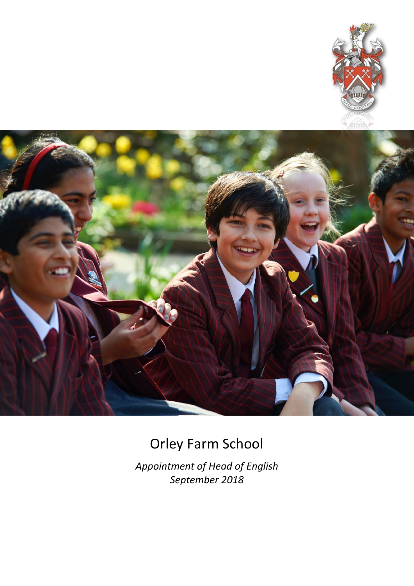



# Orley Farm School

*Appointment of Head of English September 2018*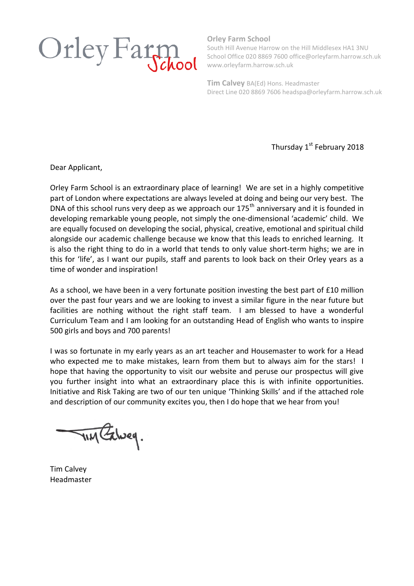

**Orley Farm School**

South Hill Avenue Harrow on the Hill Middlesex HA1 3NU School Office 020 8869 7600 office@orleyfarm.harrow.sch.uk www.orleyfarm.harrow.sch.uk

**Tim Calvey** BA(Ed) Hons. Headmaster Direct Line 020 8869 7606 headspa@orleyfarm.harrow.sch.uk

Thursday 1<sup>st</sup> February 2018

Dear Applicant,

Orley Farm School is an extraordinary place of learning! We are set in a highly competitive part of London where expectations are always leveled at doing and being our very best. The DNA of this school runs very deep as we approach our  $175<sup>th</sup>$  anniversary and it is founded in developing remarkable young people, not simply the one-dimensional 'academic' child. We are equally focused on developing the social, physical, creative, emotional and spiritual child alongside our academic challenge because we know that this leads to enriched learning. It is also the right thing to do in a world that tends to only value short-term highs; we are in this for 'life', as I want our pupils, staff and parents to look back on their Orley years as a time of wonder and inspiration!

As a school, we have been in a very fortunate position investing the best part of £10 million over the past four years and we are looking to invest a similar figure in the near future but facilities are nothing without the right staff team. I am blessed to have a wonderful Curriculum Team and I am looking for an outstanding Head of English who wants to inspire 500 girls and boys and 700 parents!

I was so fortunate in my early years as an art teacher and Housemaster to work for a Head who expected me to make mistakes, learn from them but to always aim for the stars! I hope that having the opportunity to visit our website and peruse our prospectus will give you further insight into what an extraordinary place this is with infinite opportunities. Initiative and Risk Taking are two of our ten unique 'Thinking Skills' and if the attached role and description of our community excites you, then I do hope that we hear from you!

TIM Exweg.

Tim Calvey Headmaster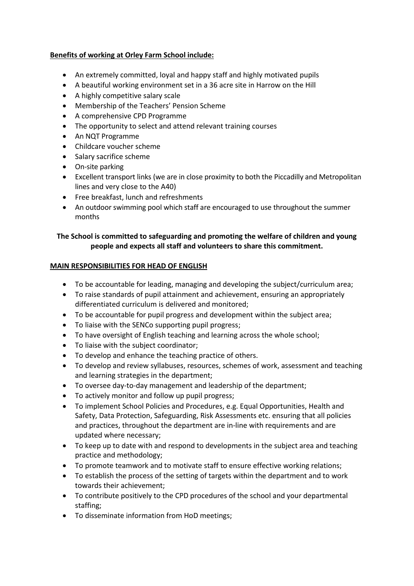# **Benefits of working at Orley Farm School include:**

- An extremely committed, loyal and happy staff and highly motivated pupils
- A beautiful working environment set in a 36 acre site in Harrow on the Hill
- A highly competitive salary scale
- Membership of the Teachers' Pension Scheme
- A comprehensive CPD Programme
- The opportunity to select and attend relevant training courses
- An NQT Programme
- Childcare voucher scheme
- Salary sacrifice scheme
- On-site parking
- Excellent transport links (we are in close proximity to both the Piccadilly and Metropolitan lines and very close to the A40)
- Free breakfast, lunch and refreshments
- An outdoor swimming pool which staff are encouraged to use throughout the summer months

# **The School is committed to safeguarding and promoting the welfare of children and young people and expects all staff and volunteers to share this commitment.**

# **MAIN RESPONSIBILITIES FOR HEAD OF ENGLISH**

- To be accountable for leading, managing and developing the subject/curriculum area;
- To raise standards of pupil attainment and achievement, ensuring an appropriately differentiated curriculum is delivered and monitored;
- To be accountable for pupil progress and development within the subject area;
- To liaise with the SENCo supporting pupil progress;
- To have oversight of English teaching and learning across the whole school;
- To liaise with the subject coordinator;
- To develop and enhance the teaching practice of others.
- To develop and review syllabuses, resources, schemes of work, assessment and teaching and learning strategies in the department;
- To oversee day-to-day management and leadership of the department;
- To actively monitor and follow up pupil progress;
- To implement School Policies and Procedures, e.g. Equal Opportunities, Health and Safety, Data Protection, Safeguarding, Risk Assessments etc. ensuring that all policies and practices, throughout the department are in-line with requirements and are updated where necessary;
- To keep up to date with and respond to developments in the subject area and teaching practice and methodology;
- To promote teamwork and to motivate staff to ensure effective working relations;
- To establish the process of the setting of targets within the department and to work towards their achievement;
- To contribute positively to the CPD procedures of the school and your departmental staffing;
- To disseminate information from HoD meetings;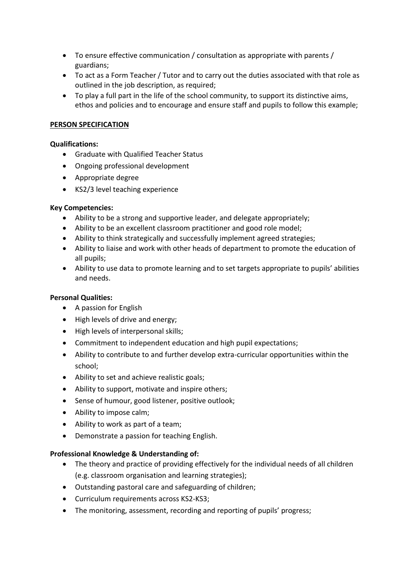- To ensure effective communication / consultation as appropriate with parents / guardians;
- To act as a Form Teacher / Tutor and to carry out the duties associated with that role as outlined in the job description, as required;
- To play a full part in the life of the school community, to support its distinctive aims, ethos and policies and to encourage and ensure staff and pupils to follow this example;

# **PERSON SPECIFICATION**

# **Qualifications:**

- Graduate with Qualified Teacher Status
- Ongoing professional development
- Appropriate degree
- KS2/3 level teaching experience

#### **Key Competencies:**

- Ability to be a strong and supportive leader, and delegate appropriately;
- Ability to be an excellent classroom practitioner and good role model;
- Ability to think strategically and successfully implement agreed strategies;
- Ability to liaise and work with other heads of department to promote the education of all pupils;
- Ability to use data to promote learning and to set targets appropriate to pupils' abilities and needs.

# **Personal Qualities:**

- A passion for English
- $\bullet$  High levels of drive and energy;
- High levels of interpersonal skills;
- Commitment to independent education and high pupil expectations;
- Ability to contribute to and further develop extra-curricular opportunities within the school;
- Ability to set and achieve realistic goals;
- Ability to support, motivate and inspire others;
- Sense of humour, good listener, positive outlook;
- Ability to impose calm;
- Ability to work as part of a team;
- Demonstrate a passion for teaching English.

# **Professional Knowledge & Understanding of:**

- The theory and practice of providing effectively for the individual needs of all children (e.g. classroom organisation and learning strategies);
- Outstanding pastoral care and safeguarding of children;
- Curriculum requirements across KS2-KS3;
- The monitoring, assessment, recording and reporting of pupils' progress;